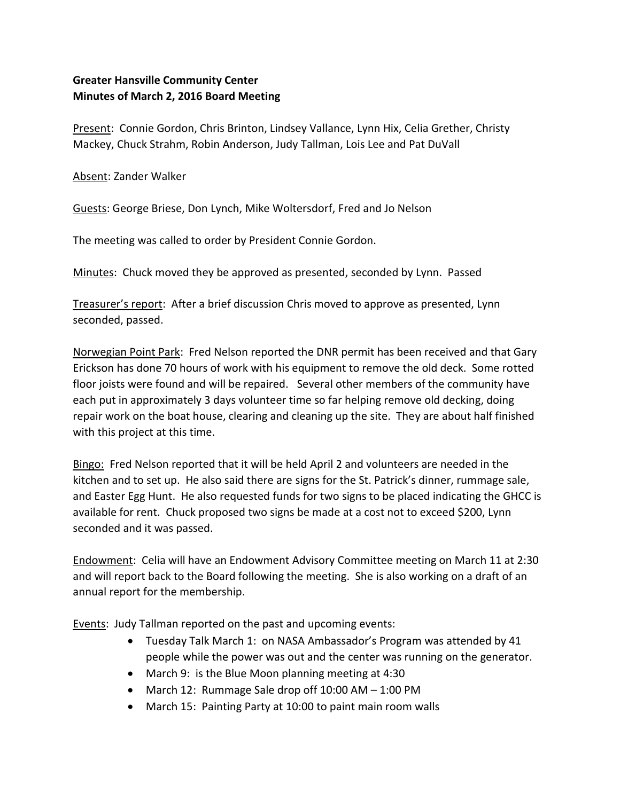## **Greater Hansville Community Center Minutes of March 2, 2016 Board Meeting**

Present: Connie Gordon, Chris Brinton, Lindsey Vallance, Lynn Hix, Celia Grether, Christy Mackey, Chuck Strahm, Robin Anderson, Judy Tallman, Lois Lee and Pat DuVall

Absent: Zander Walker

Guests: George Briese, Don Lynch, Mike Woltersdorf, Fred and Jo Nelson

The meeting was called to order by President Connie Gordon.

Minutes: Chuck moved they be approved as presented, seconded by Lynn. Passed

Treasurer's report: After a brief discussion Chris moved to approve as presented, Lynn seconded, passed.

Norwegian Point Park: Fred Nelson reported the DNR permit has been received and that Gary Erickson has done 70 hours of work with his equipment to remove the old deck. Some rotted floor joists were found and will be repaired. Several other members of the community have each put in approximately 3 days volunteer time so far helping remove old decking, doing repair work on the boat house, clearing and cleaning up the site. They are about half finished with this project at this time.

Bingo: Fred Nelson reported that it will be held April 2 and volunteers are needed in the kitchen and to set up. He also said there are signs for the St. Patrick's dinner, rummage sale, and Easter Egg Hunt. He also requested funds for two signs to be placed indicating the GHCC is available for rent. Chuck proposed two signs be made at a cost not to exceed \$200, Lynn seconded and it was passed.

Endowment: Celia will have an Endowment Advisory Committee meeting on March 11 at 2:30 and will report back to the Board following the meeting. She is also working on a draft of an annual report for the membership.

Events: Judy Tallman reported on the past and upcoming events:

- Tuesday Talk March 1: on NASA Ambassador's Program was attended by 41 people while the power was out and the center was running on the generator.
- March 9: is the Blue Moon planning meeting at 4:30
- March 12: Rummage Sale drop off  $10:00$  AM  $-1:00$  PM
- March 15: Painting Party at 10:00 to paint main room walls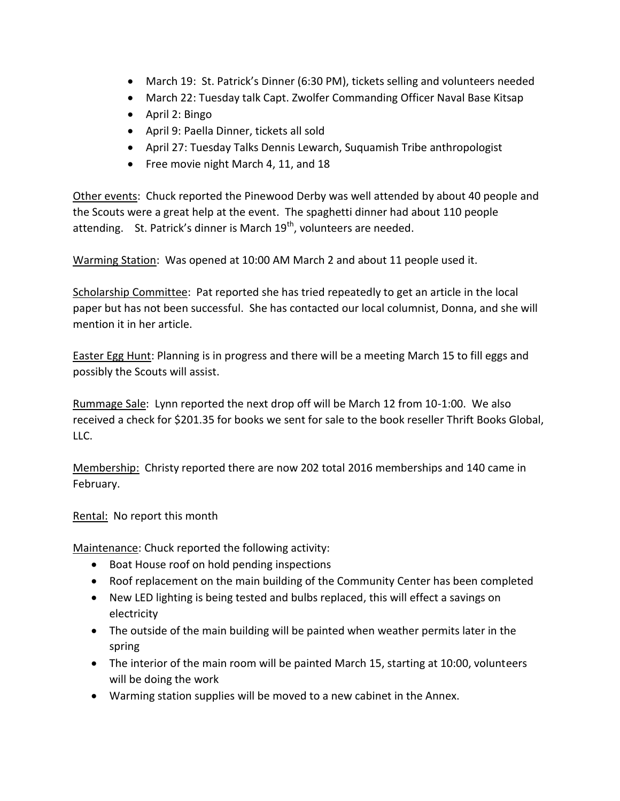- March 19: St. Patrick's Dinner (6:30 PM), tickets selling and volunteers needed
- March 22: Tuesday talk Capt. Zwolfer Commanding Officer Naval Base Kitsap
- April 2: Bingo
- April 9: Paella Dinner, tickets all sold
- April 27: Tuesday Talks Dennis Lewarch, Suquamish Tribe anthropologist
- Free movie night March 4, 11, and 18

Other events: Chuck reported the Pinewood Derby was well attended by about 40 people and the Scouts were a great help at the event. The spaghetti dinner had about 110 people attending. St. Patrick's dinner is March  $19^{th}$ , volunteers are needed.

Warming Station: Was opened at 10:00 AM March 2 and about 11 people used it.

Scholarship Committee: Pat reported she has tried repeatedly to get an article in the local paper but has not been successful. She has contacted our local columnist, Donna, and she will mention it in her article.

Easter Egg Hunt: Planning is in progress and there will be a meeting March 15 to fill eggs and possibly the Scouts will assist.

Rummage Sale: Lynn reported the next drop off will be March 12 from 10-1:00. We also received a check for \$201.35 for books we sent for sale to the book reseller Thrift Books Global, LLC.

Membership: Christy reported there are now 202 total 2016 memberships and 140 came in February.

Rental: No report this month

Maintenance: Chuck reported the following activity:

- Boat House roof on hold pending inspections
- Roof replacement on the main building of the Community Center has been completed
- New LED lighting is being tested and bulbs replaced, this will effect a savings on electricity
- The outside of the main building will be painted when weather permits later in the spring
- The interior of the main room will be painted March 15, starting at 10:00, volunteers will be doing the work
- Warming station supplies will be moved to a new cabinet in the Annex.